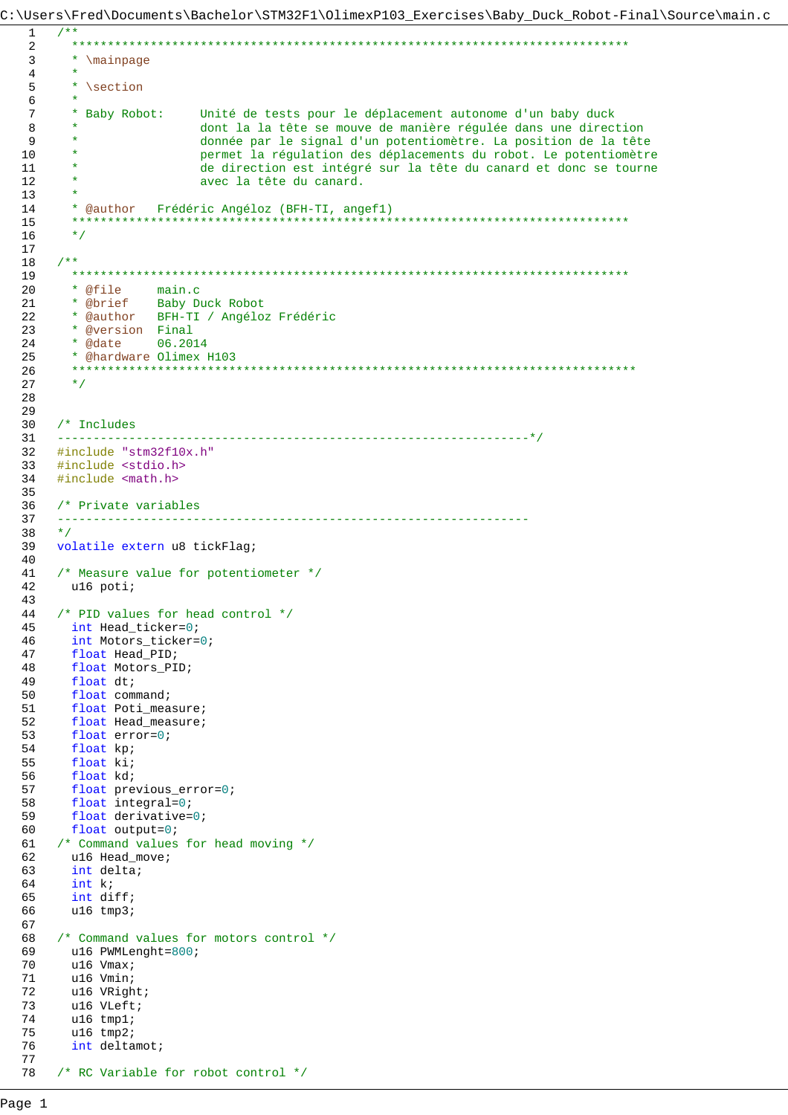C:\Users\Fred\Documents\Bachelor\STM32F1\OlimexP103\_Exercises\Baby\_Duck\_Robot-Final\Source\main.c

```
7***************
 2^{\circ}* \mainpage
\overline{3}\overline{4}\star \section
5\overline{2}6
7\phantom{.0}* Baby Robot:
                      Unité de tests pour le déplacement autonome d'un baby duck
8
                      dont la la tête se mouve de manière régulée dans une direction
                      donnée par le signal d'un potentiomètre. La position de la tête
\overline{9}10permet la régulation des déplacements du robot. Le potentiomètre
11de direction est intégré sur la tête du canard et donc se tourne
12avec la tête du canard.
1314
     * @author Frédéric Angéloz (BFH-TI, angef1)
15
     \star /
1617
   7 * *18
     19* @file main.c<br>* @brief Baby Duck Robot
20
21* @author BFH-TI / Angéloz Frédéric
22* @version Final
23
     24
25
     * @hardware Olimex H103
     ****************************
                                 26\star /
2.728
29
30<sup>°</sup>/* Includes
                         31_____________
   #include "stm32f10x.h"
32
   #include <stdio.h>
33#include <math.h>
34
3536
    /* Private variables
                               --------------------------------------
37
    ______________________
    \star /
38
    volatile extern u8 tickFlag;
39
40
    /* Measure value for potentiometer */
41
    u16 poti;
42
43
44/* PID values for head control */int Head_ticker=0;
45
     int Motors_ticker=0;
46float Head_PID;<br>float Motors_PID;
47
48
     float dt;
49
     float command;
50
51
     float Poti_measure;
    float Head_measure;<br>float error=0;<br>float kp;
52
53
54
55
     float ki;
     float kd;
56
57
     float previous_error=0;
     float integral=0;<br>float derivative=0;
58
59
     float output=0;
60
61
   /* Command values for head moving */
62
    u16 Head_move;
     int delta;<br>int k;
63
64
     int diff;
65u16 tmp3;
66
67
   /* Command values for motors control */
68
     u16 PWMLenght=800;
69
     u16 Vmax;
70
     u16 Vmin;
7172
     u16 VRight;
73
    u16 VLeft;
     u16 tmp1;
74
75
     u16 tmp2;
76
     int deltamot;
77
78
   /* RC Variable for robot control */
```
 $\mathbf{1}$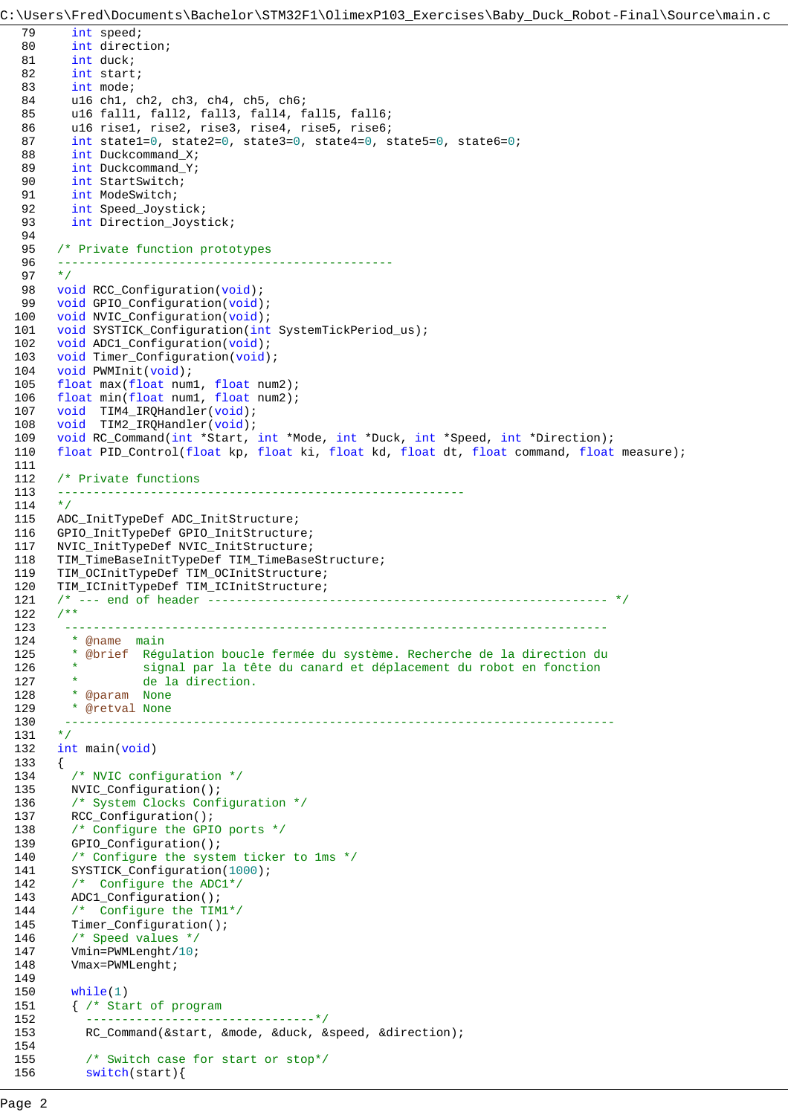```
C:\Users\Fred\Documents\Bachelor\STM32F1\OlimexP103_Exercises\Baby_Duck_Robot-Final\Source\main.c
  79 int speed;
  80 int direction;
  81 int duck;
  82 int start;
  83 int mode;
  84 u16 ch1, ch2, ch3, ch4, ch5, ch6;
  85 u16 fall1, fall2, fall3, fall4, fall5, fall6;
  86 u16 rise1, rise2, rise3, rise4, rise5, rise6;
  87 int state1=0, state2=0, state3=0, state4=0, state5=0, state6=0;
  88 int Duckcommand_X;
  89 int Duckcommand<sub>Y</sub>;
  90 int StartSwitch;
  91 int ModeSwitch;
  92 int Speed_Joystick;
  93 int Direction_Joystick;
  94 
  95 /* Private function prototypes 
  96 -----------------------------------------------
  97 */
  98 void RCC Configuration(void);
  99 void GPIO_Configuration(void);
 100 void NVIC_Configuration(void);
 101 void SYSTICK Configuration(int SystemTickPeriod us);
 102 void ADC1_Configuration(void);
 103 void Timer_Configuration(void);
 104 void PWMInit(void);
 105 float max(float num1, float num2);
 106 float min(float num1, float num2);
 107 void TIM4_IRQHandler(void);
 108 void TIM2_IRQHandler(void);
 109 void RC_Command(int *Start, int *Mode, int *Duck, int *Speed, int *Direction);
 110 float PID_Control(float kp, float ki, float kd, float dt, float command, float measure);
 111 
 112 /* Private functions 
 113 ---------------------------------------------------------
 114
 115 ADC_InitTypeDef ADC_InitStructure;
 116 GPIO_InitTypeDef GPIO_InitStructure;
 117 NVIC_InitTypeDef NVIC_InitStructure;
 118 TIM_TimeBaseInitTypeDef TIM_TimeBaseStructure;
 119 TIM_OCInitTypeDef TIM_OCInitStructure;
 120 TIM_ICInitTypeDef TIM_ICInitStructure;
 121 /* --- end of header -------------------------------------------------------- */
 122 /**
 123 ----------------------------------------------------------------------------
 124 * @name main
 125 * @brief Régulation boucle fermée du système. Recherche de la direction du 
 126 * signal par la tête du canard et déplacement du robot en fonction
 127 * de la direction.
 128 * @param None
 129 * @retval None
 130 -----------------------------------------------------------------------------
 131 */
 132 int main(void)
 133 {
 134 /* NVIC configuration */
 135 NVIC_Configuration();
 136 /* System Clocks Configuration */
 137 RCC_Configuration();
 138 /* Configure the GPIO ports */
 139 GPIO_Configuration();
 140 /* Configure the system ticker to 1ms */
 141 SYSTICK_Configuration(1000);
 142 /* Configure the ADC1*/
 143 ADC1_Configuration();
 144 /* Configure the TIM1*/
 145 Timer_Configuration();
 146 /* Speed values */
 147 Vmin=PWMLenght/10;
 148 Vmax=PWMLenght;
 149 
 150 while(1)
 151 { /* Start of program
 152 --------------------------------*/
 153 RC_Command(&start, &mode, &duck, &speed, &direction);
 154 
 155 /* Switch case for start or stop*/
 156 switch(start){
```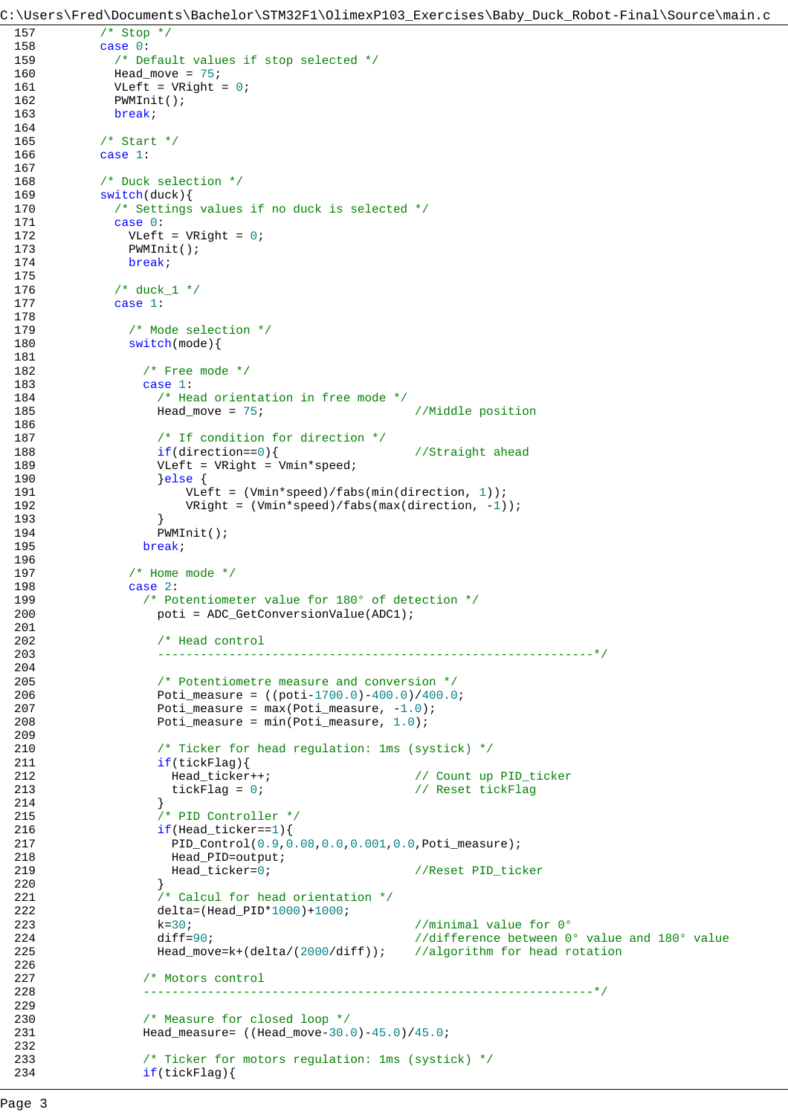```
157 /* Stop */
158 case 0:
159 /* Default values if stop selected */
160 Head_move = 75;
161 VLeft = VRight = 0;
162 PWMInit();
163 break;
164 
165 /* Start */
166 case 1:
167 
168 /* Duck selection */
169 switch(duck){<br>170 /* Settings
           /* Settings values if no duck is selected */
171 case 0:
172 VLeft = VRight = 0;
173 PWMInit();
174 break;
175 
176 /* duck_1 */
177 case 1:
178 
179 /* Mode selection */
180 switch(mode){
181 
182 /* Free mode */
183 case 1:
184 /* Head orientation in free mode */185 Head_move = 75; //Middle position
186 
187 /* If condition for direction */188 if(direction==0){ //Straight ahead
189 VLeft = VRight = Vmin*speed;
190 } } } else {
191 VLeft = (Vmin*speed)/fabs(min(direction, 1));
192 VRight = (Vmin*speed)/fabs(max(direction, -1));
193 }
194 PWMInit();
195 break;
196 
197 /* Home mode */
198 case 2:
199 /* Potentiometer value for 180° of detection */<br>200 boti = ADC GetConversionValue(ADCl);
                poti = ADC_GetConversionValue(ADC1);201 
202 /* Head control
203 -------------------------------------------------------------*/
204 
205 /* Potentiometre measure and conversion */
206 Poti_measure = ((poti-1700.0)-400.0)/400.0;
207 Poti_measure = max(Poti_measure, -1.0);
208 Poti_measure = min(Poti_measure, 1.0);
209 
210 /* Ticker for head regulation: 1ms (systick) */<br>211 if(tickFlaq){
                if(tickFlag)212 Head_ticker++; // Count up PID_ticker
213 tickFlag = 0; // Reset tickFlag = 0;
214 }
215 /* PID Controller */
216 if(Head\_ticker==1)217 PID_Control(0.9,0.08,0.0,0.001,0.0,Poti_measure);
218 Head_PID=output;
219 Head_ticker=0; //Reset PID_ticker
220 }
221 /* Calcul for head orientation */
222 delta=(Head_PID*1000)+1000;
223 k=30; k=30; \frac{m+1}{2} \frac{m}{2} \frac{m}{2} \frac{m}{2} \frac{m}{2} \frac{m}{2} \frac{m}{2} \frac{m}{2} \frac{m}{2} \frac{m}{2} \frac{m}{2} \frac{m}{2} \frac{m}{2} \frac{m}{2} \frac{m}{2} \frac{m}{2} \frac{m}{2} \frac{m}{2} \frac{m}{2} \frac{m}{2}224 diff=90; diff-90; difference between 0° value and 180° value
225 Head move=k+(delta/(2000/diff)); //algorithm for head rotation
226 
227 /* Motors control
228 ---------------------------------------------------------------*/
229 
230 /* Measure for closed loop */
231 Head_measure= ((Head_move-30.0)-45.0)/45.0;
232 
233 /* Ticker for motors regulation: 1ms (systick) */
234 if(tickFlag)
```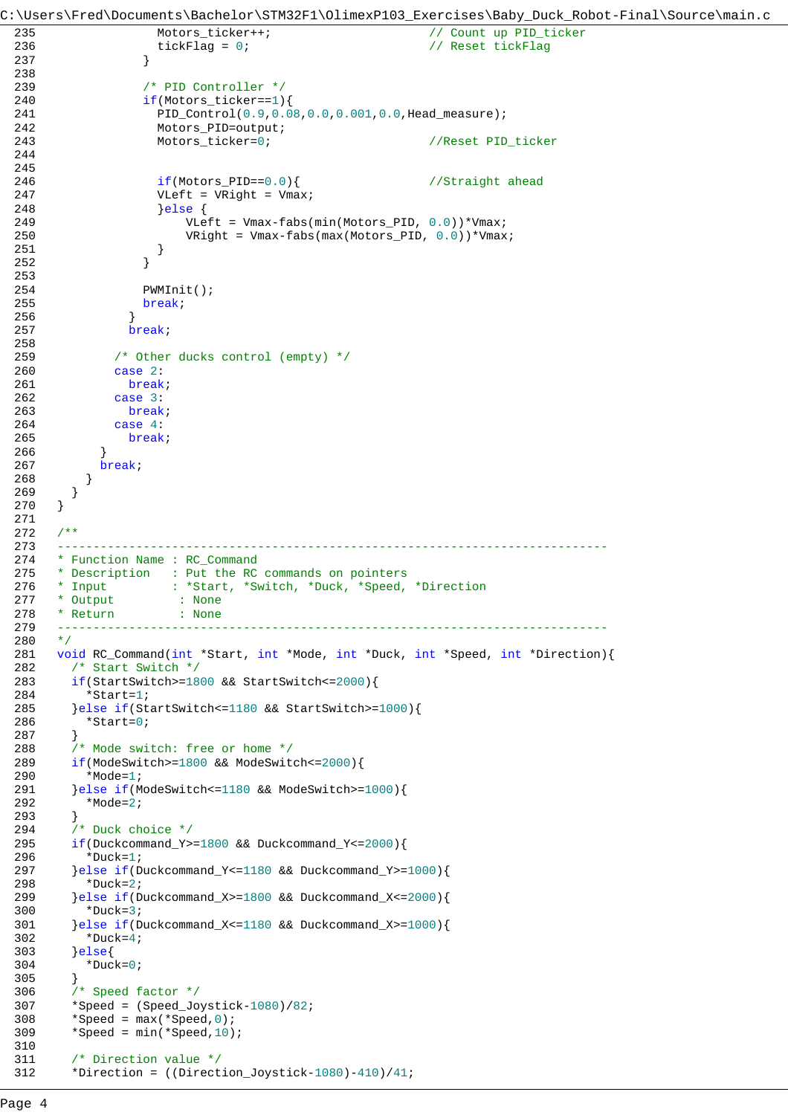```
C:\Users\Fred\Documents\Bachelor\STM32F1\OlimexP103_Exercises\Baby_Duck_Robot-Final\Source\main.c
 235 Motors_ticker++; // Count up PID_ticker
 236 tickFlag = 0; tickFlag = 0; tickFlag = 0; tickFlag = 0; tickFlag = 0; tickFlag = 0; tickFlag = 0
 237 }
 238 
 239 /* PID Controller */
 240 if(Motors ticker==1){
 241 PID_Control(0.9,0.08,0.0,0.001,0.0,Head_measure);
 242 Motors_PID=output;
 243 Motors_ticker=0; //Reset PID_ticker
 244 
 245 
 246 if(Motors_PID==0.0){ //Straight ahead
 247 VLeft = VRight = Vmax;<br>248 else {
                    }else {
 249 VLeft = Vmax-fabs(min(Motors_PID, 0.0))*Vmax;
 250 VRight = Vmax-fabs(max(Motors_PID, 0.0))*Vmax;
 251 }
 252 }
 253 
 254 PWMInit();
 255 break;<br>256 }
 256 }
 257 break;
 258<br>259
              /* Other ducks control (empty) */
 260 case 2:
 261 break;
 262 case 3:
 263 break;<br>264 case 4:
              case 4:
 265 break;
 266 }
 267 break;
 268 }
 269 }<br>270 }
 270 }
 271 
 272 /**
 273 -----------------------------------------------------------------------------
 274 * Function Name : RC_Command<br>275 * Description : Put the RC
 275 * Description : Put the RC commands on pointers<br>276 * Input : *Start, *Switch, *Duck, *Speed,
      * Input : *Start, *Switch, *Duck, *Speed, *Direction
 277 * Output : None<br>278 * Return : None
                     \therefore \frac{1}{\pi} None
 279 -----------------------------------------------------------------------------
 280 */
 281 void RC_Command(int *Start, int *Mode, int *Duck, int *Speed, int *Direction){
 282 /* Start Switch */
 283 if(StartSwitch>=1800 && StartSwitch<=2000){
 284 *Start=1;
 285 }else if(StartSwitch<=1180 && StartSwitch>=1000){
         *Start=0;287 }
 288 /* Mode switch: free or home */<br>289 if (ModeSwitch>=1800 && ModeSwit
       289 if(ModeSwitch>=1800 && ModeSwitch<=2000){
 290 *Mode=1;
 291 }else if(ModeSwitch<=1180 && ModeSwitch>=1000){
 292 *Mode=2;
 293 }
 294 /* Duck choice */295 if(Duckcommand_Y>=1800 && Duckcommand_Y<=2000){
 296 *Duck=1;
 297 }else if(Duckcommand_Y<=1180 && Duckcommand_Y>=1000){
 298 *Duck=2;
 299 }else if(Duckcommand_X>=1800 && Duckcommand_X<=2000){
 300 *Duck=3;
 301 }else if(Duckcommand_X<=1180 && Duckcommand_X>=1000){
 302 \times \text{Duck}=4;303 }else{
 304 *Duck=0;
 305 }
 306 /* Speed factor */307 *Speed = (Speed\_Joystick-1080)/82;<br>308 *Speed = max(*Speed, 0);*Speed = max(*Speed,0);309 *Speed = min(*Speed, 10);310 
 311 /* Direction value */
 312 *Direction = ((Direction_Joystick-1080)-410)/41;
```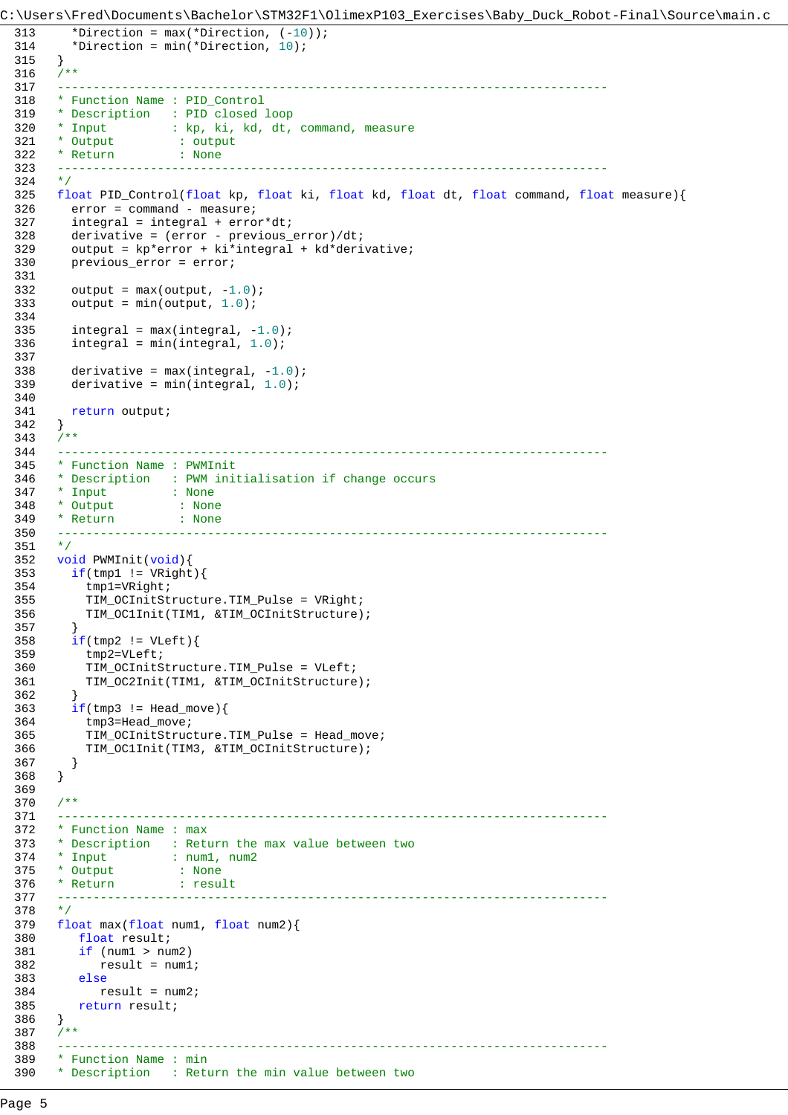```
C:\Users\Fred\Documents\Bachelor\STM32F1\OlimexP103_Exercises\Baby_Duck_Robot-Final\Source\main.c
 313 *Direction = max(*Direction, (-10));
 314 *Direction = min(*Direction, 10);
 315 }
 316 /**
 317 -----------------------------------------------------------------------------
 318 * Function Name : PID_Control
 319 * Description : PID closed loop 
 320 * Input : kp, ki, kd, dt, command, measure<br>321 * Output : output
  321 * Output : output
  322 * Return : None
 323 ----------------------<br>324 */
 324325 float PID_Control(float kp, float ki, float kd, float dt, float command, float measure){
         error = command - measure;
 327 integral = integral + error*dt;
 328 derivative = (error - previous_error)/dt;
 329 output = kp*error + ki*integral + kd*derivative;
 330 previous_error = error;
 331 
 332 output = max(output, -1.0);
 333 output = min(output, 1.0);334 
 335 integral = max(integral, -1.0);336 integral = min(integral, 1.0);337 
 338 derivative = max(integral, -1.0);339 derivative = min(integral, 1.0);
 340 
 341 return output;
 342 }
 343 /**344 -----------------------------------------------------------------------------
 345 * Function Name : PWMInit
 346 * Description : PWM initialisation if change occurs
 347 * Input : None
 348 * Output : None
 349 * Return : None
 350 ------------------------<br>351 */
 351352 void PWMInit(void){<br>353 if(tmp1 != VRight
 353 if(tmp1 != VRight){<br>354 tmp1=VRight;tmp1=VRight;
 355 TIM_OCInitStructure.TIM_Pulse = VRight;
           356 TIM_OC1Init(TIM1, &TIM_OCInitStructure);
 357 }
 358 if(tmp2 != VLeft)359 tmp2=VLeft;
 360 TIM_OCInitStructure.TIM_Pulse = VLeft;
 361 TIM_OC2Init(TIM1, &TIM_OCInitStructure);
 362 }
 363 if(tmp3 != Head_move){<br>364 tmp3 = Head_move;
           tmp3=Head_move;
 365 TIM_OCInitStructure.TIM_Pulse = Head_move;
 366 TIM_OC1Init(TIM3, &TIM_OCInitStructure);
 367 }
 368 }
 369 
 370 /**371 -----------------------------------------------------------------------------
 372 * Function Name : max
 373 * Description : Return the max value between two
 374 * Input : num1, num2<br>375 * Output : None
  375 * Output : None
  376 * Return : result
 377 -----------------------------------------------------------------------------
 378 */
 379 float max(float num1, float num2){
 380 float result;
 381 if (num1 > num2)
 382 result = num1;
 383 else
 384 result = num2;
 385 return result;<br>386 }
 386 }
 387 /**
  388 -----------------------------------------------------------------------------
 389 * Function Name : min
 390 * Description : Return the min value between two
```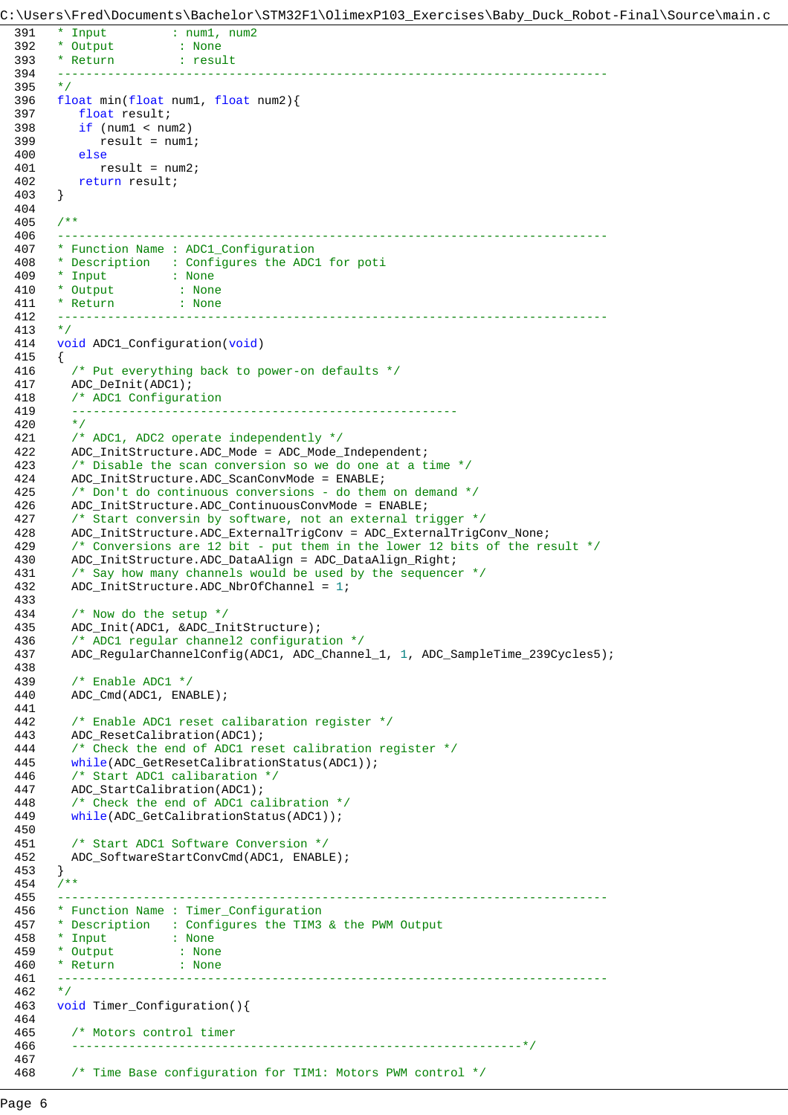C:\Users\Fred\Documents\Bachelor\STM32F1\OlimexP103\_Exercises\Baby\_Duck\_Robot-Final\Source\main.c

```
391 * Input : num1, num2<br>392 * Output : None
392 * Output : None
393 * Return : result
394 -----------------------------------------------------------------------------
395 */
396 float min(float num1, float num2){
397 float result;
398 if (num1 < num2)
399 result = num1;
400 else
401 result = num2;
402 return result;
403 }
404 
405 /**
406 -----------------------------------------------------------------------------
407 * Function Name : ADC1_Configuration
408 * Description : Configures the ADC1 for poti
409 * Input : None
410 * Output : None
411 * Return : None
412 -----------------------------------------------------------------------------
413 */
414 void ADC1_Configuration(void)
415 {
416 /* Put everything back to power-on defaults */
417 ADC_DeInit(ADC1);
418 /* ADC1 Configuration 
419 ------------------------------------------------------
420 \times421 /* ADC1, ADC2 operate independently */
422 ADC_InitStructure.ADC_Mode = ADC_Mode_Independent;
423 /* Disable the scan conversion so we do one at a time */
424 ADC_InitStructure.ADC_ScanConvMode = ENABLE;
425 /* Don't do continuous conversions - do them on demand */
426 ADC_InitStructure.ADC_ContinuousConvMode = ENABLE;
427 /* Start conversin by software, not an external trigger */
428 ADC_InitStructure.ADC_ExternalTrigConv = ADC_ExternalTrigConv_None;
429 /* Conversions are 12 bit - put them in the lower 12 bits of the result */
430 ADC_InitStructure.ADC_DataAlign = ADC_DataAlign_Right;
431 /* Say how many channels would be used by the sequencer */
432 ADC_InitStructure.ADC_NbrOfChannel = 1;
433 
434 /* Now do the setup */
435 ADC_Init(ADC1, &ADC_InitStructure);
436 /* ADC1 regular channel2 configuration */
437 ADC_RegularChannelConfig(ADC1, ADC_Channel_1, 1, ADC_SampleTime_239Cycles5);
438 
439 /* Enable ADC1 */
440 ADC_Cmd(ADC1, ENABLE);
441 
442 /* Enable ADC1 reset calibaration register */
443 ADC_ResetCalibration(ADC1);
444 /* Check the end of ADC1 reset calibration register */
445 while(ADC_GetResetCalibrationStatus(ADC1));
446 /* Start ADC1 calibaration */
447 ADC_StartCalibration(ADC1);
448 /* Check the end of ADC1 calibration */
449 while(ADC_GetCalibrationStatus(ADC1));
450 
451 /* Start ADC1 Software Conversion */
452 ADC_SoftwareStartConvCmd(ADC1, ENABLE);
453 }
454 /**
455 -----------------------------------------------------------------------------
456 * Function Name : Timer_Configuration
457 * Description : Configures the TIM3 & the PWM Output
458 * Input : None
459 * Output : None
460 * Return : None
461 -----------------------------------------------------------------------------
462 */
463 void Timer_Configuration(){
464 
465 /* Motors control timer
466 ---------------------------------------------------------------*/
467 
468 /* Time Base configuration for TIM1: Motors PWM control */
```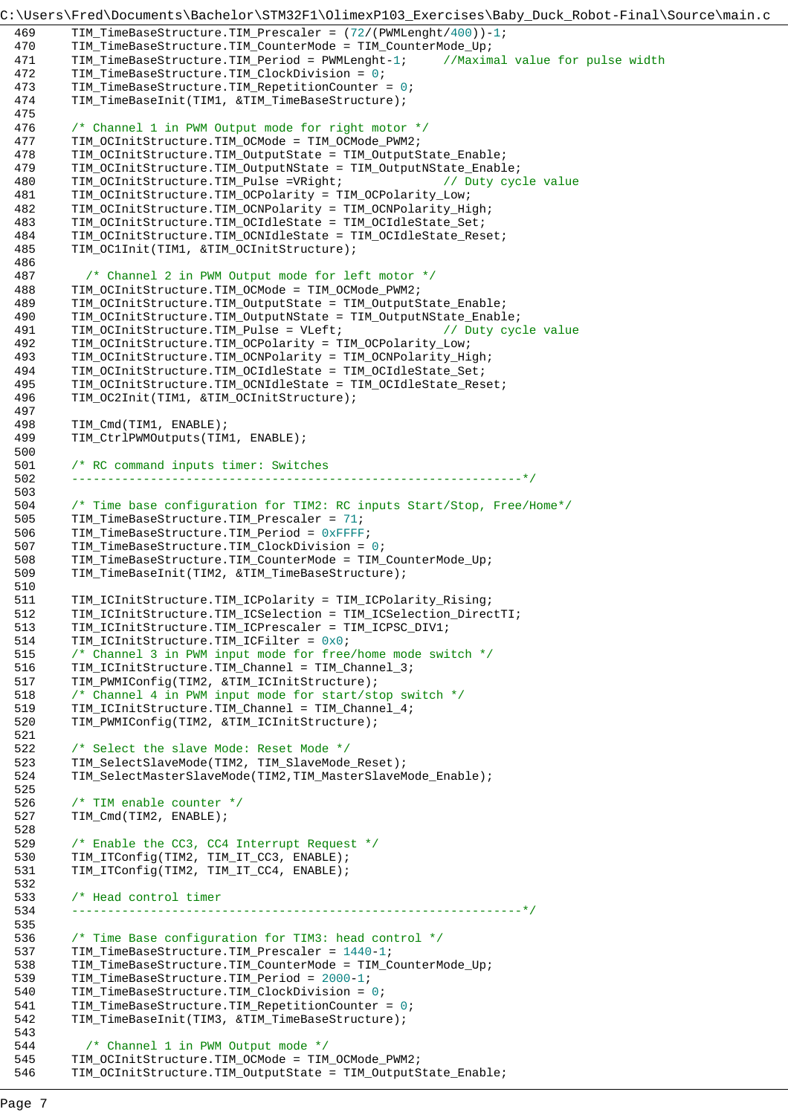```
C:\Users\Fred\Documents\Bachelor\STM32F1\OlimexP103_Exercises\Baby_Duck_Robot-Final\Source\main.c
 469 TIM_TimeBaseStructure.TIM_Prescaler = (72/(PWMLenght/400))-1;
 470 TIM_TimeBaseStructure.TIM_CounterMode = TIM_CounterMode_Up;
 471 TIM_TimeBaseStructure.TIM_Period = PWMLenght-1; //Maximal value for pulse width
 472 TIM_TimeBaseStructure.TIM_ClockDivision = 0;
 473 TIM_TimeBaseStructure.TIM_RepetitionCounter = 0;
 474 TIM_TimeBaseInit(TIM1, &TIM_TimeBaseStructure);
 475 
 476 /* Channel 1 in PWM Output mode for right motor */
 477 TIM_OCInitStructure.TIM_OCMode = TIM_OCMode_PWM2;
 478 TIM_OCInitStructure.TIM_OutputState = TIM_OutputState_Enable;
 479 TIM_OCInitStructure.TIM_OutputNState = TIM_OutputNState_Enable;
 480 TIM_OCInitStructure.TIM_Pulse =VRight; // Duty cycle value
 481 TIM_OCInitStructure.TIM_OCPolarity = TIM_OCPolarity_Low;
 482 TIM_OCInitStructure.TIM_OCNPolarity = TIM_OCNPolarity_High;
 483 TIM_OCInitStructure.TIM_OCIdleState = TIM_OCIdleState_Set;
 484 TIM_OCInitStructure.TIM_OCNIdleState = TIM_OCIdleState_Reset;
 485 TIM_OC1Init(TIM1, &TIM_OCInitStructure);
 486 
 487 /* Channel 2 in PWM Output mode for left motor */
 488 TIM_OCInitStructure.TIM_OCMode = TIM_OCMode_PWM2;
 489 TIM_OCInitStructure.TIM_OutputState = TIM_OutputState_Enable;
 490 TIM_OCInitStructure.TIM_OutputNState = TIM_OutputNState_Enable;
 491 TIM_OCInitStructure.TIM_Pulse = VLeft; // Duty cycle value
 492 TIM_OCInitStructure.TIM_OCPolarity = TIM_OCPolarity_Low;
 493 TIM_OCInitStructure.TIM_OCNPolarity = TIM_OCNPolarity_High;
 494 TIM_OCInitStructure.TIM_OCIdleState = TIM_OCIdleState_Set;
 495 TIM_OCInitStructure.TIM_OCNIdleState = TIM_OCIdleState_Reset;
 496 TIM_OC2Init(TIM1, &TIM_OCInitStructure);
 497 
 498 TIM_Cmd(TIM1, ENABLE);
 499 TIM_CtrlPWMOutputs(TIM1, ENABLE);
 500 
 501 /* RC command inputs timer: Switches
 502 ---------------------------------------------------------------*/
 503 
 504 /* Time base configuration for TIM2: RC inputs Start/Stop, Free/Home*/
 505 TIM_TimeBaseStructure.TIM_Prescaler = 71;
 506 TIM_TimeBaseStructure.TIM_Period = 0xFFFF;
 507 TIM_TimeBaseStructure.TIM_ClockDivision = 0;
 508 TIM_TimeBaseStructure.TIM_CounterMode = TIM_CounterMode_Up;
 509 TIM_TimeBaseInit(TIM2, &TIM_TimeBaseStructure);
 510 
 511 TIM_ICInitStructure.TIM_ICPolarity = TIM_ICPolarity_Rising;
 512 TIM_ICInitStructure.TIM_ICSelection = TIM_ICSelection_DirectTI;
 513 TIM_ICInitStructure.TIM_ICPrescaler = TIM_ICPSC_DIV1;
 514 TIM_ICInitStructure.TIM_ICFilter = 0x0;
 515 /* Channel 3 in PWM input mode for free/home mode switch */
 516 TIM_ICInitStructure.TIM_Channel = TIM_Channel_3;
 517 TIM_PWMIConfig(TIM2, &TIM_ICInitStructure);
 518 /* Channel 4 in PWM input mode for start/stop switch */
 519 TIM_ICInitStructure.TIM_Channel = TIM_Channel_4;
 520 TIM_PWMIConfig(TIM2, &TIM_ICInitStructure);
 521 
 522 /* Select the slave Mode: Reset Mode */
 523 TIM_SelectSlaveMode(TIM2, TIM_SlaveMode_Reset);
 524 TIM_SelectMasterSlaveMode(TIM2,TIM_MasterSlaveMode_Enable);
 525 
 526 /* TIM enable counter */
 527 TIM_Cmd(TIM2, ENABLE);
 528 
 529 /* Enable the CC3, CC4 Interrupt Request */
 530 TIM_ITConfig(TIM2, TIM_IT_CC3, ENABLE);
 531 TIM_ITConfig(TIM2, TIM_IT_CC4, ENABLE);
 532 
 533 /* Head control timer
 534 ---------------------------------------------------------------*/
 535 
 536 /* Time Base configuration for TIM3: head control */
 537 TIM_TimeBaseStructure.TIM_Prescaler = 1440-1;
 538 TIM_TimeBaseStructure.TIM_CounterMode = TIM_CounterMode_Up;
 539 TIM_TimeBaseStructure.TIM_Period = 2000-1;
 540 TIM_TimeBaseStructure.TIM_ClockDivision = 0;
 541 TIM_TimeBaseStructure.TIM_RepetitionCounter = 0;
 542 TIM_TimeBaseInit(TIM3, &TIM_TimeBaseStructure);
 543 
 544 /* Channel 1 in PWM Output mode */
 545 TIM_OCInitStructure.TIM_OCMode = TIM_OCMode_PWM2;
 546 TIM_OCInitStructure.TIM_OutputState = TIM_OutputState_Enable;
```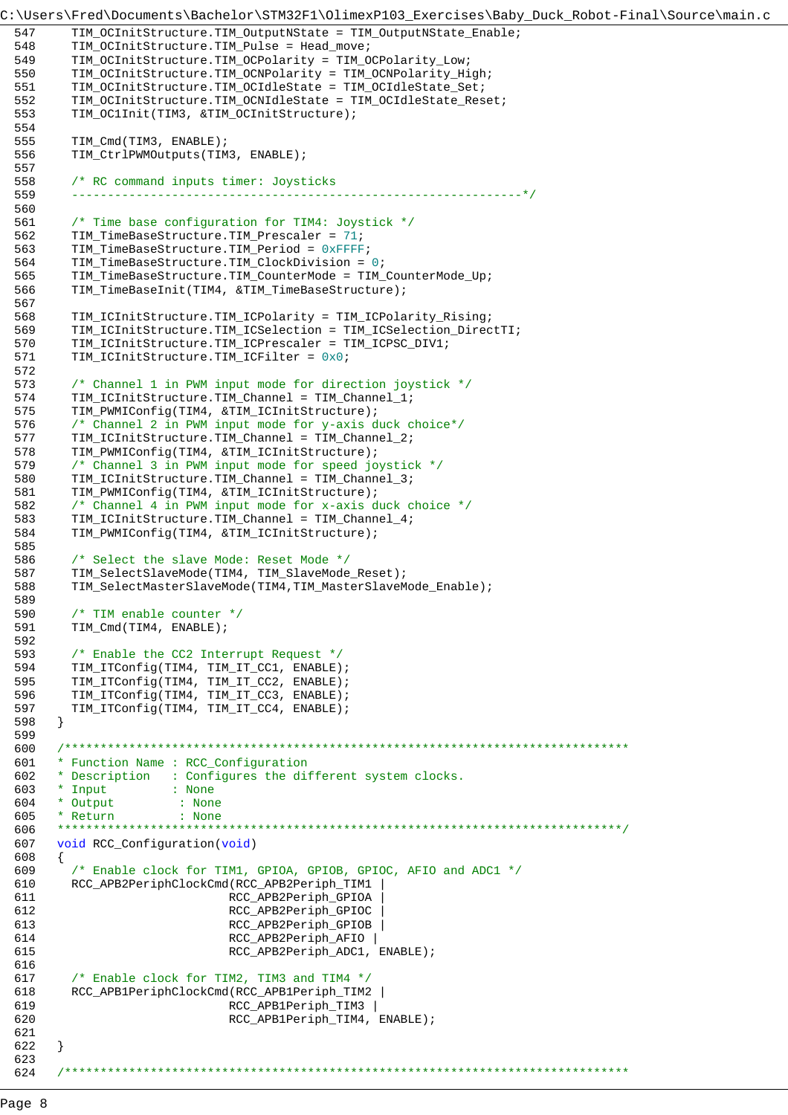```
C:\Users\Fred\Documents\Bachelor\STM32F1\OlimexP103_Exercises\Baby_Duck_Robot-Final\Source\main.c
 547 TIM_OCInitStructure.TIM_OutputNState = TIM_OutputNState_Enable;
 548 TIM_OCInitStructure.TIM_Pulse = Head_move;
 549 TIM_OCInitStructure.TIM_OCPolarity = TIM_OCPolarity_Low;
 550 TIM_OCInitStructure.TIM_OCNPolarity = TIM_OCNPolarity_High;
 551 TIM_OCInitStructure.TIM_OCIdleState = TIM_OCIdleState_Set;
 552 TIM_OCInitStructure.TIM_OCNIdleState = TIM_OCIdleState_Reset;
 553 TIM_OC1Init(TIM3, &TIM_OCInitStructure);
 554 
 555 TIM Cmd(TIM3, ENABLE);
 556 TIM_CtrlPWMOutputs(TIM3, ENABLE);
 557<br>558
         /* RC command inputs timer: Joysticks
 559 ---------------------------------------------------------------*/
 560 
 561 /* Time base configuration for TIM4: Joystick */
 562 TIM_TimeBaseStructure.TIM_Prescaler = 71;
 563 TIM TimeBaseStructure.TIM Period = 0xFFFF;
 564 TIM_TimeBaseStructure.TIM_ClockDivision = 0;
 565 TIM_TimeBaseStructure.TIM_CounterMode = TIM_CounterMode_Up;
 566 TIM_TimeBaseInit(TIM4, &TIM_TimeBaseStructure);
 567<br>568
         568 TIM_ICInitStructure.TIM_ICPolarity = TIM_ICPolarity_Rising;
 569 TIM_ICInitStructure.TIM_ICSelection = TIM_ICSelection_DirectTI;
 570 TIM_ICInitStructure.TIM_ICPrescaler = TIM_ICPSC_DIV1;<br>571 TIM_ICInitStructure.TIM_ICFilter = 0x0;
         TIM_ICInitStructure.TIM_ICFilter = 0x0;
 572<br>573
         /* Channel 1 in PWM input mode for direction joystick */
 574 TIM_ICInitStructure.TIM_Channel = TIM_Channel_1;
 575 TIM_PWMIConfig(TIM4, &TIM_ICInitStructure);<br>576 /* Channel 2 in PWM input mode for y-axis d
         /* Channel 2 in PWM input mode for y-axis duck choice*/
 577 TIM_ICInitStructure.TIM_Channel = TIM_Channel_2;
 578 TIM_PWMIConfig(TIM4, &TIM_ICInitStructure);
 579 /* Channel 3 in PWM input mode for speed joystick */
 580 TIM_ICInitStructure.TIM_Channel = TIM_Channel_3;
 581 TIM_PWMIConfig(TIM4, &TIM_ICInitStructure);
 582 /* Channel 4 in PWM input mode for x-axis duck choice */
 583 TIM_ICInitStructure.TIM_Channel = TIM_Channel_4;
 584 TIM_PWMIConfig(TIM4, &TIM_ICInitStructure);
 585 
 586 /* Select the slave Mode: Reset Mode */<br>587 TIM SelectSlaveMode(TIM4, TIM SlaveMode
 587 TIM_SelectSlaveMode(TIM4, TIM_SlaveMode_Reset);<br>588 TIM_SelectMasterSlaveMode(TIM4,TIM_MasterSlaveM
         588 TIM_SelectMasterSlaveMode(TIM4,TIM_MasterSlaveMode_Enable);
 589<br>590
         /* TIM enable counter */591 TIM_Cmd(TIM4, ENABLE);
 592 
 593 /* Enable the CC2 Interrupt Request */
 594 TIM_ITConfig(TIM4, TIM_IT_CC1, ENABLE);
 595 TIM_ITConfig(TIM4, TIM_IT_CC2, ENABLE);
 596 TIM_ITConfig(TIM4, TIM_IT_CC3, ENABLE);
 597 TIM_ITConfig(TIM4, TIM_IT_CC4, ENABLE);
 598 }
 599 
 600 /*******************************************************************************
 601 * Function Name : RCC_Configuration
 602 * Description : Configures the different system clocks.
 603 * Input
 604 * Output : None
 605 * Return : None
 606 *******************************************************************************/
 607 void RCC_Configuration(void)
 608 {
 609 /* Enable clock for TIM1, GPIOA, GPIOB, GPIOC, AFIO and ADC1 */
 610 RCC_APB2PeriphClockCmd(RCC_APB2Periph_TIM1 |
 611 RCC_APB2Periph_GPIOA |
 612 RCC_APB2Periph_GPIOC |
 613 RCC_APB2Periph_GPIOB |
 614 RCC_APB2Periph_AFIO |
 615 RCC_APB2Periph_ADC1, ENABLE);
 616 
 617 /* Enable clock for TIM2, TIM3 and TIM4 */
 618 RCC_APB1PeriphClockCmd(RCC_APB1Periph_TIM2 |
 619 RCC_APB1Periph_TIM3 |<br>620 RCC APB1Periph TIM4,
                               RCC_APB1Periph_TIM4, ENABLE);
 621 
 622 }
 623
```
624 /\*\*\*\*\*\*\*\*\*\*\*\*\*\*\*\*\*\*\*\*\*\*\*\*\*\*\*\*\*\*\*\*\*\*\*\*\*\*\*\*\*\*\*\*\*\*\*\*\*\*\*\*\*\*\*\*\*\*\*\*\*\*\*\*\*\*\*\*\*\*\*\*\*\*\*\*\*\*\*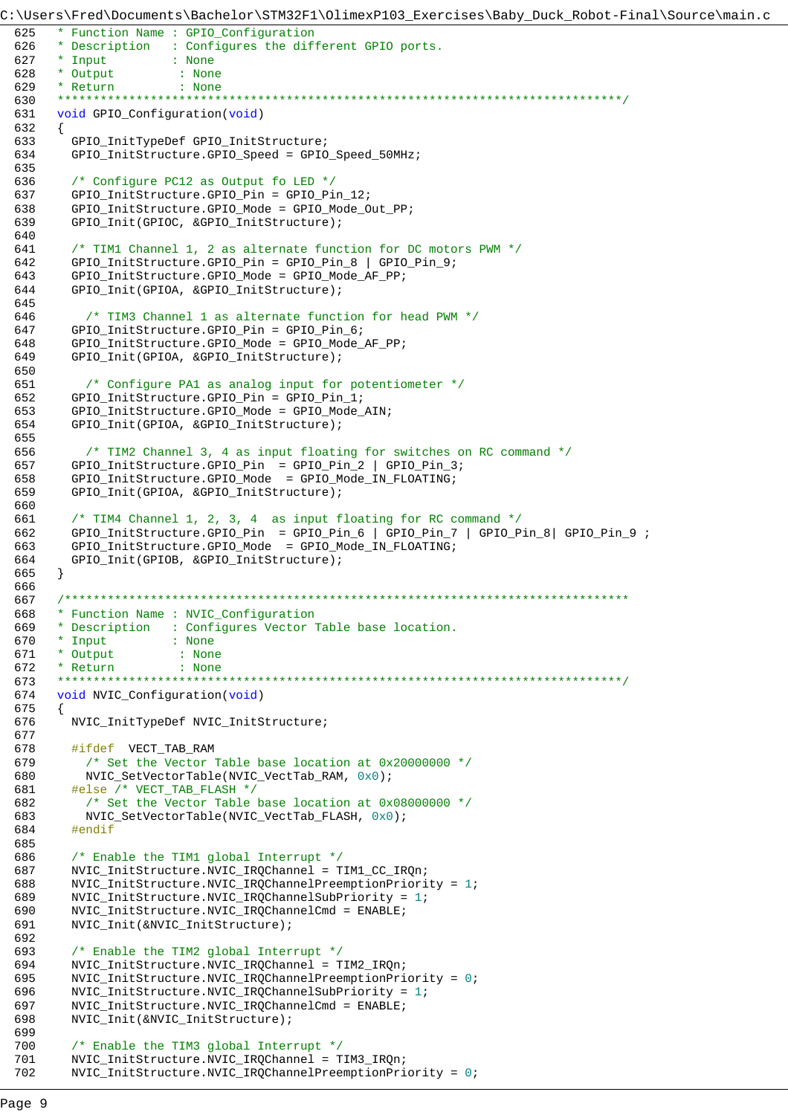```
C:\Users\Fred\Documents\Bachelor\STM32F1\OlimexP103_Exercises\Baby_Duck_Robot-Final\Source\main.c
 625 * Function Name : GPIO_Configuration
 626 * Description : Configures the different GPIO ports.
 627 * Input : None
 628 * Output : None
 629 * Return : None<br>620 *************************
 630 *******************************************************************************/
 631 void GPIO_Configuration(void)
 632 {
 633 GPIO InitTypeDef GPIO InitStructure;
 634 GPIO_InitStructure.GPIO_Speed = GPIO_Speed_50MHz;
 635 
 636 /* Configure PC12 as Output fo LED */
 637 GPIO_InitStructure.GPIO_Pin = GPIO_Pin_12;
         638 GPIO_InitStructure.GPIO_Mode = GPIO_Mode_Out_PP;
 639 GPIO_Init(GPIOC, &GPIO_InitStructure);
 640 
 641 /* TIM1 Channel 1, 2 as alternate function for DC motors PWM */
 642 GPIO_InitStructure.GPIO_Pin = GPIO_Pin_8 | GPIO_Pin_9;
 643 GPIO_InitStructure.GPIO_Mode = GPIO_Mode_AF_PP;
 644 GPIO_Init(GPIOA, &GPIO_InitStructure);
 645 
 646 /* TIM3 Channel 1 as alternate function for head PWM */
 647 GPIO_InitStructure.GPIO_Pin = GPIO_Pin_6;
 648 GPIO_InitStructure.GPIO_Mode = GPIO_Mode_AF_PP;<br>649 GPIO Init(GPIOA, &GPIO InitStructure);
         649 GPIO_Init(GPIOA, &GPIO_InitStructure);
 650 
 651 /* Configure PA1 as analog input for potentiometer */
 652 GPIO_InitStructure.GPIO_Pin = GPIO_Pin_1;
 653 GPIO_InitStructure.GPIO_Mode = GPIO_Mode_AIN;
         654 GPIO_Init(GPIOA, &GPIO_InitStructure);
 655 
 656 /* TIM2 Channel 3, 4 as input floating for switches on RC command */
 657 GPIO_InitStructure.GPIO_Pin = GPIO_Pin_2 | GPIO_Pin_3;
 658 GPIO_InitStructure.GPIO_Mode = GPIO_Mode_IN_FLOATING;
 659 GPIO_Init(GPIOA, &GPIO_InitStructure);
 660 
 661 /* TIM4 Channel 1, 2, 3, 4 as input floating for RC command */
 662 GPIO_InitStructure.GPIO_Pin = GPIO_Pin_6 | GPIO_Pin_7 | GPIO_Pin_8| GPIO_Pin_9 ;
 663 GPIO_InitStructure.GPIO_Mode = GPIO_Mode_IN_FLOATING;
 664 GPIO_Init(GPIOB, &GPIO_InitStructure);
 665 }
 666 
 667 /*******************************************************************************
       668 * Function Name : NVIC_Configuration
 669 * Description : Configures Vector Table base location.
 670 * Input : None
 671 * Output : None
 672 * Return : None
 673 *******************************************************************************/
 674 void NVIC_Configuration(void)
 675 {
         676 NVIC_InitTypeDef NVIC_InitStructure;
 677 
 678 #ifdef VECT_TAB_RAM<br>679 /* Set the Vector
           /* Set the Vector Table base location at 0x20000000 */
 680 NVIC_SetVectorTable(NVIC_VectTab_RAM, 0x0);
 681 #else /* VECT_TAB_FLASH */
 682 /* Set the Vector Table base location at 0x08000000 */
 683 NVIC_SetVectorTable(NVIC_VectTab_FLASH, 0x0);
 684 #endif
 685 
 686 /* Enable the TIM1 global Interrupt */
 687 NVIC_InitStructure.NVIC_IRQChannel = TIM1_CC_IRQn;
 688 NVIC_InitStructure.NVIC_IRQChannelPreemptionPriority = 1;
 689 NVIC_InitStructure.NVIC_IRQChannelSubPriority = 1;
 690 NVIC_InitStructure.NVIC_IRQChannelCmd = ENABLE;
 691 NVIC_Init(&NVIC_InitStructure);
 692 
 693 /* Enable the TIM2 global Interrupt */
 694 NVIC_InitStructure.NVIC_IRQChannel = TIM2_IRQn;
 695 NVIC_InitStructure.NVIC_IRQChannelPreemptionPriority = 0;
 696 NVIC_InitStructure.NVIC_IRQChannelSubPriority = 1;
 697 NVIC_InitStructure.NVIC_IRQChannelCmd = ENABLE;<br>698 NVIC Init(&NVIC InitStructure);
         698 NVIC_Init(&NVIC_InitStructure);
 699 
 700 /* Enable the TIM3 global Interrupt */
 701 NVIC_InitStructure.NVIC_IRQChannel = TIM3_IRQn;
 702 NVIC_InitStructure.NVIC_IRQChannelPreemptionPriority = 0;
```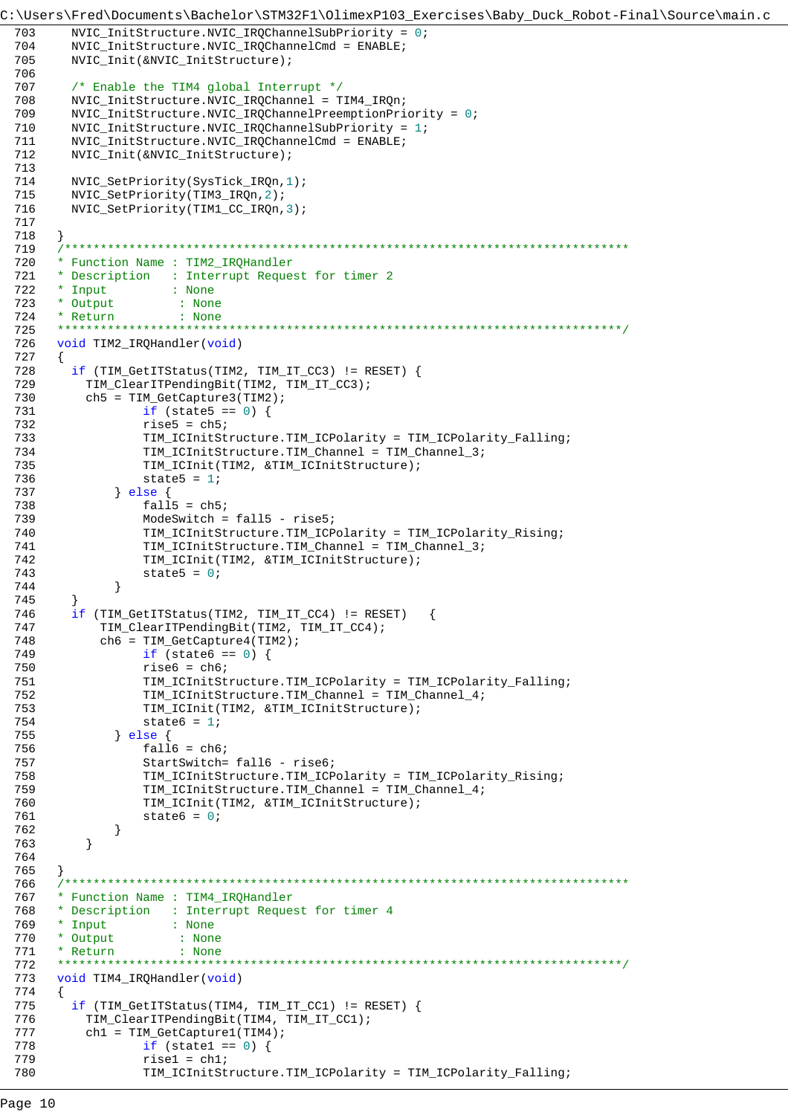```
C:\Users\Fred\Documents\Bachelor\STM32F1\OlimexP103_Exercises\Baby_Duck_Robot-Final\Source\main.c
 703
        NVIC_InitStructure.NVIC_IRQChannelSubPriority = 0;
 704NVIC_InitStructure.NVIC_IRQChannelCmd = ENABLE;
 705NVIC_Init(&NVIC_InitStructure);
 706
 707
         /* Enable the TIM4 global Interrupt */
        NVIC InitStructure.NVIC IROChannel = TIM4 IROn;
 708709
        NVIC_InitStructure.NVIC_IRQChannelPreemptionPriority = 0;
        NVIC\_InitStructure.NVIC\_IRQChamnelSubPriority = 1;710
 711
        NVIC_InitStructure.NVIC_IRQChannelCmd = ENABLE;
 712
        NVIC_Init(&NVIC_InitStructure);
 713
 714
        NVIC_SetPriority(SysTick_IRQn,1);
 715
        NVIC_SetPriority(TIM3_IRQn,2);
 716
        NVIC_SetPriority(TIM1_CC_IRQn,3);
 717
 718
      \left\{ \right.719
 720
      * Function Name : TIM2_IRQHandler
      * Description : Interrupt Request for timer 2
 721
 722
      * Input
                     : None
      * Output
 723: None724
       * Return
                     \therefore None
      725
      void TIM2_IRQHandler(void)
 726
 727
       \{if (TIM_GettTStatus(TIM2, TIM_IT_CC3) := REST) {
 728
          TIM_ClearITPendingBit(TIM2, TIM_IT_CC3);
 729
 730
          ch5 = TIM GetCapture3(TIM2);
 731
                  if (state5 == 0) {
                  rise5 = ch5;732TIM_ICInitStructure.TIM_ICPolarity = TIM_ICPolarity_Falling;
 733
 734
                  TIM_ICInitStructure.TIM_Channel = TIM_Channel_3;
 735
                  TIM_ICInit(TIM2, &TIM_ICInitStructure);
 736
                  state5 = 1i737
              \} else \{738fall5 = ch5;739
                  ModeSwitch = fall5 - rise5;
                  TIM_ICInitStructure.TIM_ICPolarity = TIM_ICPolarity_Rising;
 740741
                  TIM_ICInitStructure.TIM_Channel = TIM_Channel_3;
 742
                  TIM_ICInit(TIM2, &TIM_ICInitStructure);
 743
                  state5 = 0;744
              \}745
 746
        if (TIM_GetITStatus(TIM2, TIM_IT_CC4) != RESET)
                                                       \left\{ \right.747
            TIM_ClearITPendingBit(TIM2, TIM_IT_CC4);
 748
            ch6 = TIM_GetCapture4(TIM2);749
                  if (state6 == 0) {
 750
                  rise6 = ch6;751
                  TIM_ICInitStructure.TIM_ICPolarity = TIM_ICPolarity_Falling;
 752
                  TIM_ICInitStructure.TIM_Channel = TIM_Channel_4;
 753
                  TIM_ICInit(TIM2, &TIM_ICInitStructure);
 754
                  state6 = 1;
              \} else {
 755
 756
                  fall6 = ch6;757
                  StartSwitch= fall6 - rise6;
                  TIM_ICInitStructure.TIM_ICPolarity = TIM_ICPolarity_Rising;
 758
 759
                  TIM_ICInitStructure.TIM_Channel = TIM_Channel_4;
 760
                  TIM_ICInit(TIM2, &TIM_ICInitStructure);
 761
                  state6 = 0;
 762
              \}763
          \}764
 765
       \left\{ \right.766
      * Function Name : TIM4_IRQHandler
 767
 768
       * Description : Interrupt Request for timer 4
 769
       * Input
                    : None
      * Output
 770
                     \therefore None
 771
       * Return
                      : None772
 773
      void TIM4_IRQHandler(void)
 774
       \{775
        if (TIM_GetITStatus(TIM4, TIM_IT_CC1) != RESET) {
 776
          TIM_ClearITPendingBit(TIM4, TIM_IT_CC1);
 777
          ch1 = TIM_GetCapture1(TIM4);
 778
                  if (statel == 0) {
 779
                  rise1 = ch1;780
                  TIM_ICInitStructure.TIM_ICPolarity = TIM_ICPolarity_Falling;
```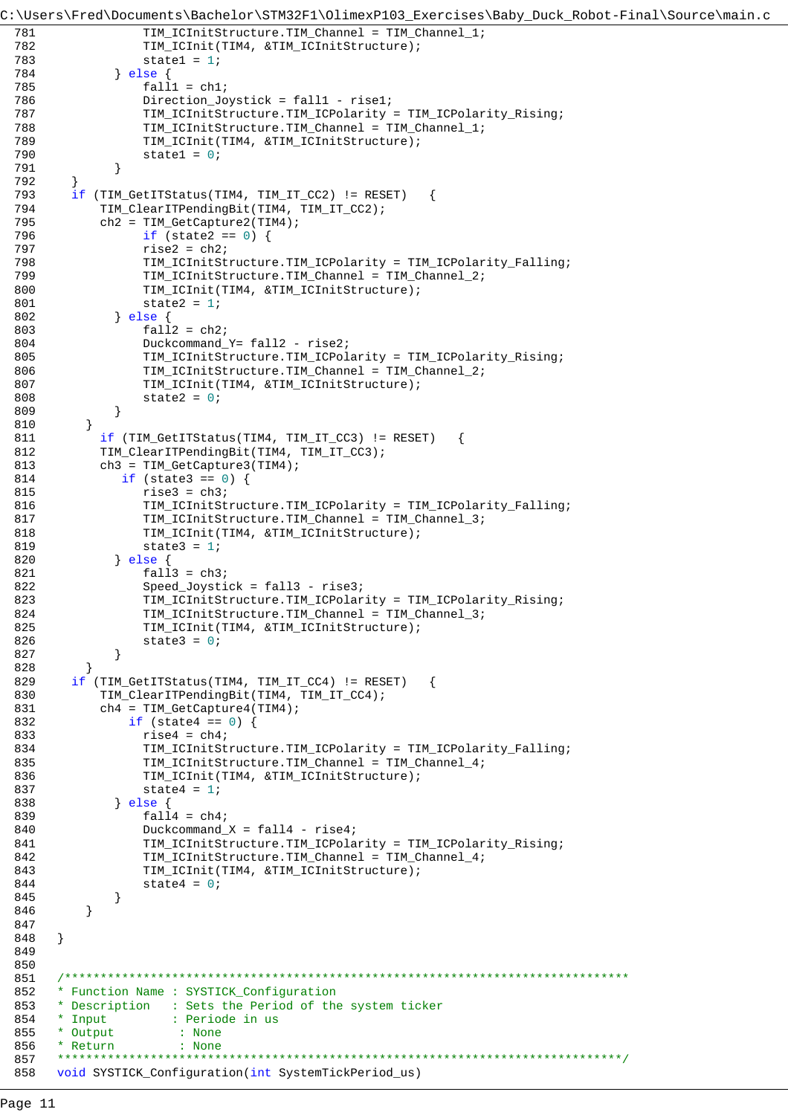```
C:\Users\Fred\Documents\Bachelor\STM32F1\OlimexP103_Exercises\Baby_Duck_Robot-Final\Source\main.c
 781 TIM_ICInitStructure.TIM_Channel = TIM_Channel_1;
 782 TIM_ICInit(TIM4, &TIM_ICInitStructure);
 783 state1 = 1;
 784 } else {
 785 fall1 = ch1;
 786 Direction Joystick = fall1 - rise1;
 787 TIM_ICInitStructure.TIM_ICPolarity = TIM_ICPolarity_Rising;
 788 TIM_ICInitStructure.TIM_Channel = TIM_Channel_1;
 789 TIM_ICInit(TIM4, &TIM_ICInitStructure);
 790 state1 = 0;<br>791 }
 791 }
 792 }
 793 if (TIM_GetITStatus(TIM4, TIM_IT_CC2) != RESET) {
           TIM_ClearITPendingBit(TIM4, TIM_IT_CC2);
 795 ch2 = TIM_GetCapture2(TIM4);
 796 if (state2 == 0) {
 797 rise2 = ch2;
 798 TIM_ICInitStructure.TIM_ICPolarity = TIM_ICPolarity_Falling;
 799 TIM_ICInitStructure.TIM_Channel = TIM_Channel_2;
 800 TIM_ICInit(TIM4, &TIM_ICInitStructure);
 801 state2 = 1;
 802 } else {
 803 fall2 = ch2;
 804 Duckcommand_Y= fall2 - rise2;<br>805 TIM ICInitStructure.TIM ICPol
                TIM_ICInitStructure.TIM_ICPolarity = TIM_ICPolarity_Rising;
 806 TIM_ICInitStructure.TIM_Channel = TIM_Channel_2;
 807 TIM_ICInit(TIM4, &TIM_ICInitStructure);
 808 state2 = 0;
 809 }
 810 }
 811 if (TIM_GetITStatus(TIM4, TIM_IT_CC3) != RESET)
 812 TIM_ClearITPendingBit(TIM4, TIM_IT_CC3);
 813 ch3 = TIM_GetCapture3(TIM4);
 814 if (state3 == 0) {
 815 rise3 = ch3;
 816 TIM_ICInitStructure.TIM_ICPolarity = TIM_ICPolarity_Falling;
 817 TIM_ICInitStructure.TIM_Channel = TIM_Channel_3;
 818 TIM_ICInit(TIM4, &TIM_ICInitStructure);
 819 state3 = 1;
 820 } else {
 821 fall 3 = ch3;
 822 Speed_Joystick = fall3 - rise3;
 823 TIM_ICInitStructure.TIM_ICPolarity = TIM_ICPolarity_Rising;<br>824 TIM_ICInitStructure TIM_Channel = TIM_Channel 3:
                824 TIM_ICInitStructure.TIM_Channel = TIM_Channel_3;
 825 TIM_ICInit(TIM4, &TIM_ICInitStructure);
 826 state3 = 0;
 827 }
 828 }
 829 if (TIM_GetITStatus(TIM4, TIM_IT_CC4) != RESET) {
 830 TIM_ClearITPendingBit(TIM4, TIM_IT_CC4);
 831 ch4 = TIM_GetCapture4(TIM4);
 832 if (state4 == 0) {
 833 rise4 = ch4;
 834 TIM_ICInitStructure.TIM_ICPolarity = TIM_ICPolarity_Falling;
 835 TIM_ICInitStructure.TIM_Channel = TIM_Channel 4;
 836 TIM_ICInit(TIM4, &TIM_ICInitStructure);
 837 state4 = 1;
 838 } else {
 839 fall4 = ch4;
 840 Duckcommand_X = fall4 - rise4;
 841 TIM_ICInitStructure.TIM_ICPolarity = TIM_ICPolarity_Rising;
 842 TIM_ICInitStructure.TIM_Channel = TIM_Channel_4;
 843 TIM_ICInit(TIM4, &TIM_ICInitStructure);
 844 = 0;845 }
 846 }
 847 
 848 }
 849 
 850 
 851 /*******************************************************************************
 852 * Function Name : SYSTICK_Configuration
 853 * Description : Sets the Period of the system ticker<br>854 * Input : Periode in us
      * Input : Periode in us
 855 * Output : None
 856 * Return : None
 857 *******************************************************************************/
 858 void SYSTICK_Configuration(int SystemTickPeriod_us)
```